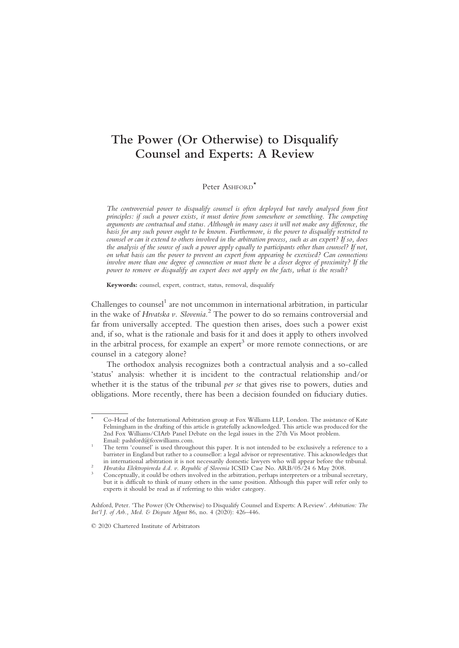# The Power (Or Otherwise) to Disqualify Counsel and Experts: A Review

Peter ASHFORD\*

The controversial power to disqualify counsel is often deployed but rarely analysed from first principles: if such a power exists, it must derive from somewhere or something. The competing arguments are contractual and status. Although in many cases it will not make any difference, the basis for any such power ought to be known. Furthermore, is the power to disqualify restricted to counsel or can it extend to others involved in the arbitration process, such as an expert? If so, does the analysis of the source of such a power apply equally to participants other than counsel? If not, on what basis can the power to prevent an expert from appearing be exercised? Can connections involve more than one degree of connection or must there be a closer degree of proximity? If the power to remove or disqualify an expert does not apply on the facts, what is the result?

Keywords: counsel, expert, contract, status, removal, disqualify

Challenges to counsel<sup>1</sup> are not uncommon in international arbitration, in particular in the wake of Hrvatska v. Slovenia.<sup>2</sup> The power to do so remains controversial and far from universally accepted. The question then arises, does such a power exist and, if so, what is the rationale and basis for it and does it apply to others involved in the arbitral process, for example an expert $3$  or more remote connections, or are counsel in a category alone?

The orthodox analysis recognizes both a contractual analysis and a so-called 'status' analysis: whether it is incident to the contractual relationship and/or whether it is the status of the tribunal *per se* that gives rise to powers, duties and obligations. More recently, there has been a decision founded on fiduciary duties.

<sup>\*</sup> Co-Head of the International Arbitration group at Fox Williams LLP, London. The assistance of Kate Felmingham in the drafting of this article is gratefully acknowledged. This article was produced for the 2nd Fox Williams/CIArb Panel Debate on the legal issues in the 27th Vis Moot problem.

The term 'counsel' is used throughout this paper. It is not intended to be exclusively a reference to a barrister in England but rather to a counsellor: a legal advisor or representative. This acknowledges that

Hrvatska Elektropivreda d.d. v. Republic of Slovenia ICSID Case No. ARB/05/24 6 May 2008.<br>Conceptually, it could be others involved in the arbitration, perhaps interpreters or a tribunal secretary, but it is difficult to think of many others in the same position. Although this paper will refer only to experts it should be read as if referring to this wider category.

Ashford, Peter. 'The Power (Or Otherwise) to Disqualify Counsel and Experts: A Review'. Arbitration: The Int'l J. of Arb., Med. & Dispute Mgmt 86, no. 4 (2020): 426–446.

<sup>© 2020</sup> Chartered Institute of Arbitrators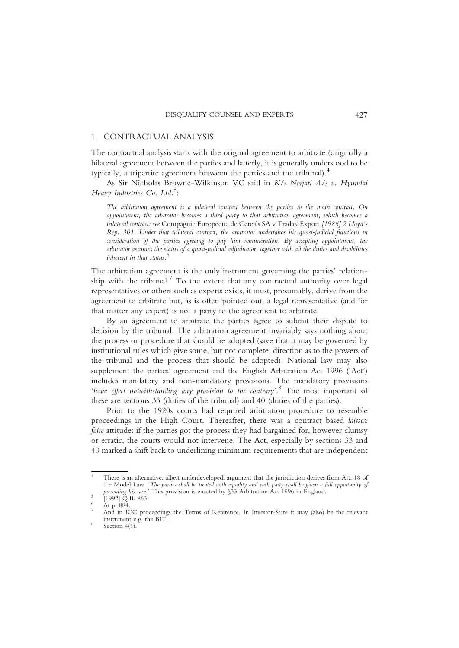## 1 CONTRACTUAL ANALYSIS

The contractual analysis starts with the original agreement to arbitrate (originally a bilateral agreement between the parties and latterly, it is generally understood to be typically, a tripartite agreement between the parties and the tribunal).<sup>4</sup>

As Sir Nicholas Browne-Wilkinson VC said in K/s Norjarl A/s v. Hyundai Heavy Industries Co. Ltd.<sup>5</sup>:

The arbitration agreement is a bilateral contract between the parties to the main contract. On appointment, the arbitrator becomes a third party to that arbitration agreement, which becomes a trilateral contract: see Compagnie Europeene de Cereals SA v Tradax Export [1986] 2 Lloyd's Rep. 301. Under that trilateral contract, the arbitrator undertakes his quasi-judicial functions in consideration of the parties agreeing to pay him remuneration. By accepting appointment, the arbitrator assumes the status of a quasi-judicial adjudicator, together with all the duties and disabilities inherent in that status.<sup>6</sup>

The arbitration agreement is the only instrument governing the parties' relationship with the tribunal.<sup>7</sup> To the extent that any contractual authority over legal representatives or others such as experts exists, it must, presumably, derive from the agreement to arbitrate but, as is often pointed out, a legal representative (and for that matter any expert) is not a party to the agreement to arbitrate.

By an agreement to arbitrate the parties agree to submit their dispute to decision by the tribunal. The arbitration agreement invariably says nothing about the process or procedure that should be adopted (save that it may be governed by institutional rules which give some, but not complete, direction as to the powers of the tribunal and the process that should be adopted). National law may also supplement the parties' agreement and the English Arbitration Act 1996 ('Act') includes mandatory and non-mandatory provisions. The mandatory provisions 'have effect notwithstanding any provision to the contrary'. <sup>8</sup> The most important of these are sections 33 (duties of the tribunal) and 40 (duties of the parties).

Prior to the 1920s courts had required arbitration procedure to resemble proceedings in the High Court. Thereafter, there was a contract based laissez faire attitude: if the parties got the process they had bargained for, however clumsy or erratic, the courts would not intervene. The Act, especially by sections 33 and 40 marked a shift back to underlining minimum requirements that are independent

<sup>4</sup> There is an alternative, albeit underdeveloped, argument that the jurisdiction derives from Art. 18 of the Model Law: 'The parties shall be treated with equality and each party shall be given a full opportunity of presenting his case.' This provision is enacted by §33 Arbitration Act 1996 in England.<br>
<sup>5</sup> [1992] Q.B. 863. <br>
<sup>6</sup> At p. 884. <br>
<sup>7</sup> And in ICC proceedings the Terms of Reference. In Investor-State it may (also) be the rel

instrument e.g. the BIT.<br>Section  $4(1)$ .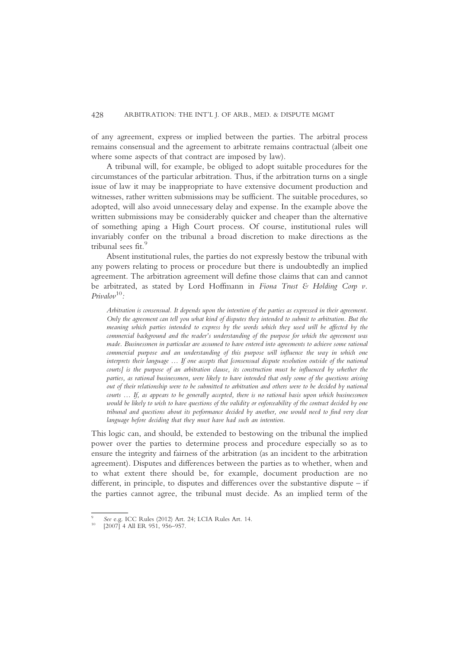of any agreement, express or implied between the parties. The arbitral process remains consensual and the agreement to arbitrate remains contractual (albeit one where some aspects of that contract are imposed by law).

A tribunal will, for example, be obliged to adopt suitable procedures for the circumstances of the particular arbitration. Thus, if the arbitration turns on a single issue of law it may be inappropriate to have extensive document production and witnesses, rather written submissions may be sufficient. The suitable procedures, so adopted, will also avoid unnecessary delay and expense. In the example above the written submissions may be considerably quicker and cheaper than the alternative of something aping a High Court process. Of course, institutional rules will invariably confer on the tribunal a broad discretion to make directions as the tribunal sees fit.<sup>9</sup>

Absent institutional rules, the parties do not expressly bestow the tribunal with any powers relating to process or procedure but there is undoubtedly an implied agreement. The arbitration agreement will define those claims that can and cannot be arbitrated, as stated by Lord Hoffmann in Fiona Trust & Holding Corp v.  $Private10$ :

Arbitration is consensual. It depends upon the intention of the parties as expressed in their agreement. Only the agreement can tell you what kind of disputes they intended to submit to arbitration. But the meaning which parties intended to express by the words which they used will be affected by the commercial background and the reader's understanding of the purpose for which the agreement was made. Businessmen in particular are assumed to have entered into agreements to achieve some rational commercial purpose and an understanding of this purpose will influence the way in which one interprets their language … If one accepts that [consensual dispute resolution outside of the national courts] is the purpose of an arbitration clause, its construction must be influenced by whether the parties, as rational businessmen, were likely to have intended that only some of the questions arising out of their relationship were to be submitted to arbitration and others were to be decided by national courts … If, as appears to be generally accepted, there is no rational basis upon which businessmen would be likely to wish to have questions of the validity or enforceability of the contract decided by one tribunal and questions about its performance decided by another, one would need to find very clear language before deciding that they must have had such an intention.

This logic can, and should, be extended to bestowing on the tribunal the implied power over the parties to determine process and procedure especially so as to ensure the integrity and fairness of the arbitration (as an incident to the arbitration agreement). Disputes and differences between the parties as to whether, when and to what extent there should be, for example, document production are no different, in principle, to disputes and differences over the substantive dispute  $-$  if the parties cannot agree, the tribunal must decide. As an implied term of the

<sup>9</sup> See e.g. ICC Rules (2012) Art. 24; LCIA Rules Art. 14.<br><sup>10</sup> [2007] 4 All ER 951, 956–957.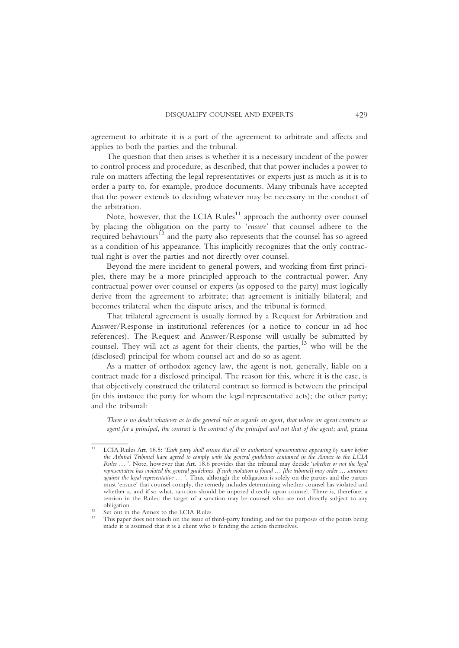agreement to arbitrate it is a part of the agreement to arbitrate and affects and applies to both the parties and the tribunal.

The question that then arises is whether it is a necessary incident of the power to control process and procedure, as described, that that power includes a power to rule on matters affecting the legal representatives or experts just as much as it is to order a party to, for example, produce documents. Many tribunals have accepted that the power extends to deciding whatever may be necessary in the conduct of the arbitration.

Note, however, that the LCIA  $\text{Rules}^{11}$  approach the authority over counsel by placing the obligation on the party to 'ensure' that counsel adhere to the required behaviours<sup>12</sup> and the party also represents that the counsel has so agreed as a condition of his appearance. This implicitly recognizes that the only contractual right is over the parties and not directly over counsel.

Beyond the mere incident to general powers, and working from first principles, there may be a more principled approach to the contractual power. Any contractual power over counsel or experts (as opposed to the party) must logically derive from the agreement to arbitrate; that agreement is initially bilateral; and becomes trilateral when the dispute arises, and the tribunal is formed.

That trilateral agreement is usually formed by a Request for Arbitration and Answer/Response in institutional references (or a notice to concur in ad hoc references). The Request and Answer/Response will usually be submitted by counsel. They will act as agent for their clients, the parties, $^{13}$  who will be the (disclosed) principal for whom counsel act and do so as agent.

As a matter of orthodox agency law, the agent is not, generally, liable on a contract made for a disclosed principal. The reason for this, where it is the case, is that objectively construed the trilateral contract so formed is between the principal (in this instance the party for whom the legal representative acts); the other party; and the tribunal:

There is no doubt whatever as to the general rule as regards an agent, that where an agent contracts as agent for a principal, the contract is the contract of the principal and not that of the agent; and, prima

LCIA Rules Art. 18.5: 'Each party shall ensure that all its authorized representatives appearing by name before the Arbitral Tribunal have agreed to comply with the general guidelines contained in the Annex to the LCIA Rules … '. Note, however that Art. 18.6 provides that the tribunal may decide 'whether or not the legal representative has violated the general guidelines. If such violation is found … [the tribunal] may order … sanctions against the legal representative ... '. Thus, although the obligation is solely on the parties and the parties must 'ensure' that counsel comply, the remedy includes determining whether counsel has violated and whether a, and if so what, sanction should be imposed directly upon counsel. There is, therefore, a tension in the Rules: the target of a sanction may be counsel who are not directly subject to any

 $\frac{12}{12}$  Set out in the Annex to the LCIA Rules.<br><sup>13</sup> This paper does not touch on the issue of third-party funding, and for the purposes of the points being made it is assumed that it is a client who is funding the action themselves.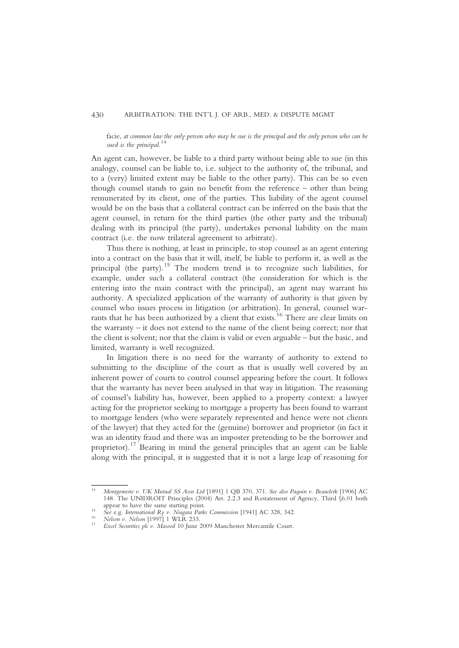facie, at common law the only person who may be sue is the principal and the only person who can be sued is the principal.  $14$ 

An agent can, however, be liable to a third party without being able to sue (in this analogy, counsel can be liable to, i.e. subject to the authority of, the tribunal, and to a (very) limited extent may be liable to the other party). This can be so even though counsel stands to gain no benefit from the reference – other than being remunerated by its client, one of the parties. This liability of the agent counsel would be on the basis that a collateral contract can be inferred on the basis that the agent counsel, in return for the third parties (the other party and the tribunal) dealing with its principal (the party), undertakes personal liability on the main contract (i.e. the now trilateral agreement to arbitrate).

Thus there is nothing, at least in principle, to stop counsel as an agent entering into a contract on the basis that it will, itself, be liable to perform it, as well as the principal (the party).<sup>15</sup> The modern trend is to recognize such liabilities, for example, under such a collateral contract (the consideration for which is the entering into the main contract with the principal), an agent may warrant his authority. A specialized application of the warranty of authority is that given by counsel who issues process in litigation (or arbitration). In general, counsel warrants that he has been authorized by a client that exists.<sup>16</sup> There are clear limits on the warranty – it does not extend to the name of the client being correct; nor that the client is solvent; nor that the claim is valid or even arguable – but the basic, and limited, warranty is well recognized.

In litigation there is no need for the warranty of authority to extend to submitting to the discipline of the court as that is usually well covered by an inherent power of courts to control counsel appearing before the court. It follows that the warranty has never been analysed in that way in litigation. The reasoning of counsel's liability has, however, been applied to a property context: a lawyer acting for the proprietor seeking to mortgage a property has been found to warrant to mortgage lenders (who were separately represented and hence were not clients of the lawyer) that they acted for the (genuine) borrower and proprietor (in fact it was an identity fraud and there was an imposter pretending to be the borrower and proprietor).<sup>17</sup> Bearing in mind the general principles that an agent can be liable along with the principal, it is suggested that it is not a large leap of reasoning for

<sup>14</sup> Montgomerie v. UK Mutual SS Assn Ltd [1891] 1 QB 370, 371. See also Paquin v. Beauclerk [1906] AC 148. The UNIDROIT Principles (2004) Art. 2.2.3 and Restatement of Agency, Third §6.01 both

See e.g. International Ry v. Niagara Parks Commission [1941] AC 328, 342.<br>
Nelson v. Nelson [1997] 1 WLR 233.<br>
<sup>17</sup> Excel Securities plc v. Masood 10 June 2009 Manchester Mercantile Court.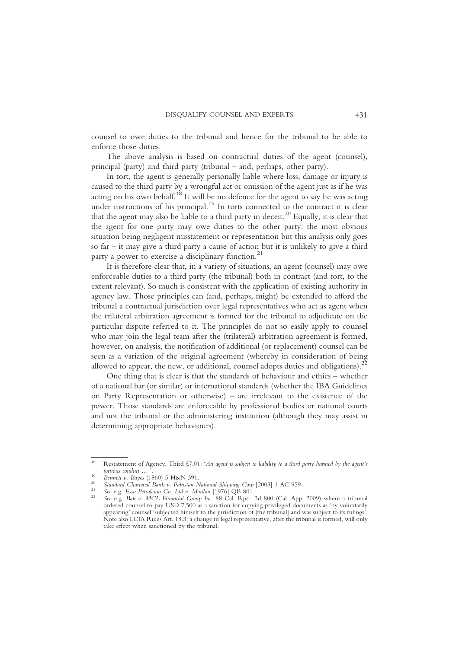counsel to owe duties to the tribunal and hence for the tribunal to be able to enforce those duties.

The above analysis is based on contractual duties of the agent (counsel), principal (party) and third party (tribunal – and, perhaps, other party).

In tort, the agent is generally personally liable where loss, damage or injury is caused to the third party by a wrongful act or omission of the agent just as if he was acting on his own behalf.<sup>18</sup> It will be no defence for the agent to say he was acting under instructions of his principal. $19$  In torts connected to the contract it is clear that the agent may also be liable to a third party in deceit.<sup>20</sup> Equally, it is clear that the agent for one party may owe duties to the other party: the most obvious situation being negligent misstatement or representation but this analysis only goes so far – it may give a third party a cause of action but it is unlikely to give a third party a power to exercise a disciplinary function.<sup>21</sup>

It is therefore clear that, in a variety of situations, an agent (counsel) may owe enforceable duties to a third party (the tribunal) both in contract (and tort, to the extent relevant). So much is consistent with the application of existing authority in agency law. Those principles can (and, perhaps, might) be extended to afford the tribunal a contractual jurisdiction over legal representatives who act as agent when the trilateral arbitration agreement is formed for the tribunal to adjudicate on the particular dispute referred to it. The principles do not so easily apply to counsel who may join the legal team after the (trilateral) arbitration agreement is formed, however, on analysis, the notification of additional (or replacement) counsel can be seen as a variation of the original agreement (whereby in consideration of being allowed to appear, the new, or additional, counsel adopts duties and obligations). $^{22}$ 

One thing that is clear is that the standards of behaviour and ethics – whether of a national bar (or similar) or international standards (whether the IBA Guidelines on Party Representation or otherwise) – are irrelevant to the existence of the power. Those standards are enforceable by professional bodies or national courts and not the tribunal or the administering institution (although they may assist in determining appropriate behaviours).

Restatement of Agency, Third §7.01: 'An agent is subject to liability to a third party harmed by the agent's tortious conduct ... '.<br>
<sup>19</sup> Bennett v. Bayes (1860) 5 H&N 391.<br>
<sup>20</sup> Standard Chartered Bank v. Pakistan National Shipping Corp [2003] 1 AC 959 .<br>
<sup>21</sup> See e.g. Esso Petroleum Co. Ltd v. Mardon [1976] QB 801.<br>
<sup>22</sup> See e

ordered counsel to pay USD 7,500 as a sanction for copying privileged documents as 'by voluntarily appearing' counsel 'subjected himself to the jurisdiction of [the tribunal] and was subject to its rulings'. Note also LCIA Rules Art. 18.3: a change in legal representative, after the tribunal is formed, will only take effect when sanctioned by the tribunal.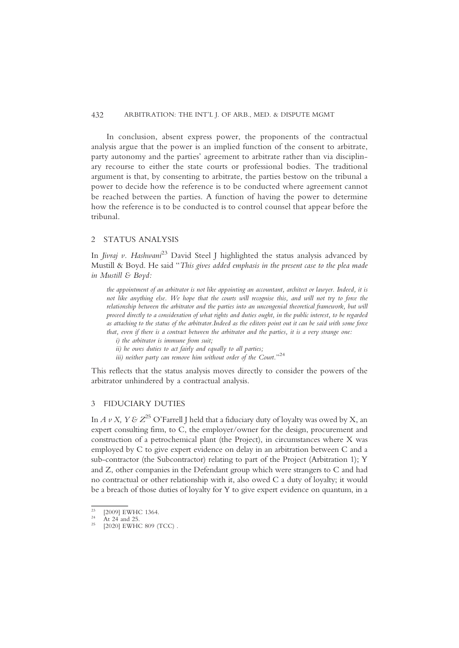In conclusion, absent express power, the proponents of the contractual analysis argue that the power is an implied function of the consent to arbitrate, party autonomy and the parties' agreement to arbitrate rather than via disciplinary recourse to either the state courts or professional bodies. The traditional argument is that, by consenting to arbitrate, the parties bestow on the tribunal a power to decide how the reference is to be conducted where agreement cannot be reached between the parties. A function of having the power to determine how the reference is to be conducted is to control counsel that appear before the tribunal.

# 2 STATUS ANALYSIS

In Jivraj v. Hashwani<sup>23</sup> David Steel J highlighted the status analysis advanced by Mustill & Boyd. He said "This gives added emphasis in the present case to the plea made in Mustill & Boyd:

the appointment of an arbitrator is not like appointing an accountant, architect or lawyer. Indeed, it is not like anything else. We hope that the courts will recognise this, and will not try to force the relationship between the arbitrator and the parties into an uncongenial theoretical framework, but will proceed directly to a consideration of what rights and duties ought, in the public interest, to be regarded as attaching to the status of the arbitrator.Indeed as the editors point out it can be said with some force that, even if there is a contract between the arbitrator and the parties, it is a very strange one:

- i) the arbitrator is immune from suit;
- ii) he owes duties to act fairly and equally to all parties;
- iii) neither party can remove him without order of the Court."<sup>24</sup>

This reflects that the status analysis moves directly to consider the powers of the arbitrator unhindered by a contractual analysis.

## 3 FIDUCIARY DUTIES

In A v X, Y &  $Z^{25}$  O'Farrell J held that a fiduciary duty of loyalty was owed by X, an expert consulting firm, to C, the employer/owner for the design, procurement and construction of a petrochemical plant (the Project), in circumstances where X was employed by C to give expert evidence on delay in an arbitration between C and a sub-contractor (the Subcontractor) relating to part of the Project (Arbitration 1); Y and Z, other companies in the Defendant group which were strangers to C and had no contractual or other relationship with it, also owed C a duty of loyalty; it would be a breach of those duties of loyalty for Y to give expert evidence on quantum, in a

<sup>&</sup>lt;sup>23</sup> [2009] EWHC 1364.<br>
<sup>24</sup> At 24 and 25.<br>
<sup>25</sup> [2020] EWHC 809 (TCC).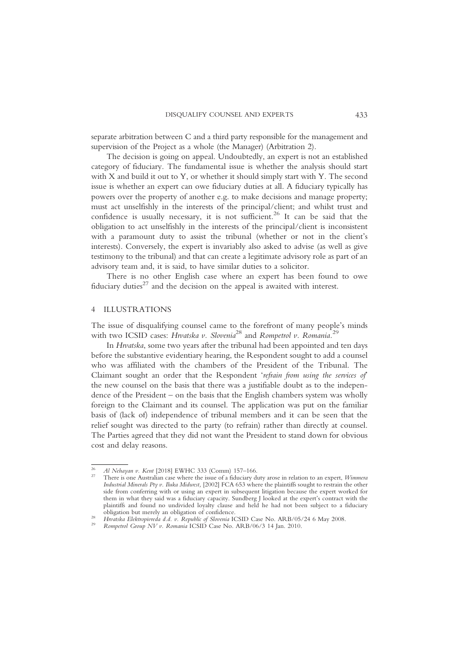separate arbitration between C and a third party responsible for the management and supervision of the Project as a whole (the Manager) (Arbitration 2).

The decision is going on appeal. Undoubtedly, an expert is not an established category of fiduciary. The fundamental issue is whether the analysis should start with X and build it out to Y, or whether it should simply start with Y. The second issue is whether an expert can owe fiduciary duties at all. A fiduciary typically has powers over the property of another e.g. to make decisions and manage property; must act unselfishly in the interests of the principal/client; and whilst trust and confidence is usually necessary, it is not sufficient.<sup>26</sup> It can be said that the obligation to act unselfishly in the interests of the principal/client is inconsistent with a paramount duty to assist the tribunal (whether or not in the client's interests). Conversely, the expert is invariably also asked to advise (as well as give testimony to the tribunal) and that can create a legitimate advisory role as part of an advisory team and, it is said, to have similar duties to a solicitor.

There is no other English case where an expert has been found to owe fiduciary duties $^{27}$  and the decision on the appeal is awaited with interest.

# 4 ILLUSTRATIONS

The issue of disqualifying counsel came to the forefront of many people's minds with two ICSID cases: Hrvatska v. Slovenia<sup>28</sup> and Rompetrol v. Romania.<sup>29</sup>

In Hrvatska, some two years after the tribunal had been appointed and ten days before the substantive evidentiary hearing, the Respondent sought to add a counsel who was affiliated with the chambers of the President of the Tribunal. The Claimant sought an order that the Respondent 'refrain from using the services of' the new counsel on the basis that there was a justifiable doubt as to the independence of the President – on the basis that the English chambers system was wholly foreign to the Claimant and its counsel. The application was put on the familiar basis of (lack of) independence of tribunal members and it can be seen that the relief sought was directed to the party (to refrain) rather than directly at counsel. The Parties agreed that they did not want the President to stand down for obvious cost and delay reasons.

<sup>&</sup>lt;sup>26</sup> Al Nehayan v. Kent [2018] EWHC 333 (Comm) 157–166.<br><sup>27</sup> There is one Australian case where the issue of a fiduciary duty arose in relation to an expert, *Wimmera* Industrial Minerals Pty v. Iluka Midwest, [2002] FCA 653 where the plaintiffs sought to restrain the other side from conferring with or using an expert in subsequent litigation because the expert worked for them in what they said was a fiduciary capacity. Sundberg J looked at the expert's contract with the plaintiffs and found no undivided loyalty clause and held he had not been subject to a fiduciary obligation but merely an obligation of confidence.

Hrvatska Elektropivreda d.d. v. Republic of Slovenia ICSID Case No. ARB/05/24 6 May 2008. Rompetrol Group NV v. Romania ICSID Case No. ARB/06/3 14 Jan. 2010.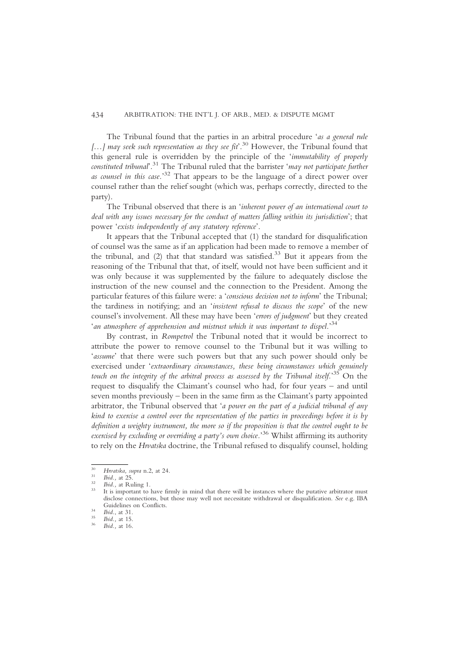The Tribunal found that the parties in an arbitral procedure 'as a general rule [...] may seek such representation as they see fit'.<sup>30</sup> However, the Tribunal found that this general rule is overridden by the principle of the 'immutability of properly constituted tribunal<sup>"</sup>.<sup>31</sup> The Tribunal ruled that the barrister 'may not participate further as counsel in this case.<sup>32</sup> That appears to be the language of a direct power over counsel rather than the relief sought (which was, perhaps correctly, directed to the party).

The Tribunal observed that there is an 'inherent power of an international court to deal with any issues necessary for the conduct of matters falling within its jurisdiction'; that power 'exists independently of any statutory reference'.

It appears that the Tribunal accepted that (1) the standard for disqualification of counsel was the same as if an application had been made to remove a member of the tribunal, and  $(2)$  that that standard was satisfied.<sup>33</sup> But it appears from the reasoning of the Tribunal that that, of itself, would not have been sufficient and it was only because it was supplemented by the failure to adequately disclose the instruction of the new counsel and the connection to the President. Among the particular features of this failure were: a 'conscious decision not to inform' the Tribunal; the tardiness in notifying; and an 'insistent refusal to discuss the scope' of the new counsel's involvement. All these may have been 'errors of judgment' but they created 'an atmosphere of apprehension and mistrust which it was important to dispel.<sup>34</sup>

By contrast, in Rompetrol the Tribunal noted that it would be incorrect to attribute the power to remove counsel to the Tribunal but it was willing to 'assume' that there were such powers but that any such power should only be exercised under 'extraordinary circumstances, these being circumstances which genuinely touch on the integrity of the arbitral process as assessed by the Tribunal itself.<sup>35</sup> On the request to disqualify the Claimant's counsel who had, for four years – and until seven months previously – been in the same firm as the Claimant's party appointed arbitrator, the Tribunal observed that 'a power on the part of a judicial tribunal of any kind to exercise a control over the representation of the parties in proceedings before it is by definition a weighty instrument, the more so if the proposition is that the control ought to be exercised by excluding or overriding a party's own choice.<sup>36</sup> Whilst affirming its authority to rely on the Hrvatska doctrine, the Tribunal refused to disqualify counsel, holding

<sup>&</sup>lt;sup>30</sup> Hrvatska, supra n.2, at 24.<br><sup>31</sup> Ibid., at 25.<br><sup>32</sup> Ibid., at Ruling 1.<br><sup>33</sup> It is important to have firmly in mind that there will be instances where the putative arbitrator must disclose connections, but those may well not necessitate withdrawal or disqualification. See e.g. IBA Guidelines on Conflicts<br><sup>34</sup> *Ibid.*, at 31.<br><sup>35</sup> *Ibid.*, at 15.<br><sup>36</sup> *Ibid.*, at 16.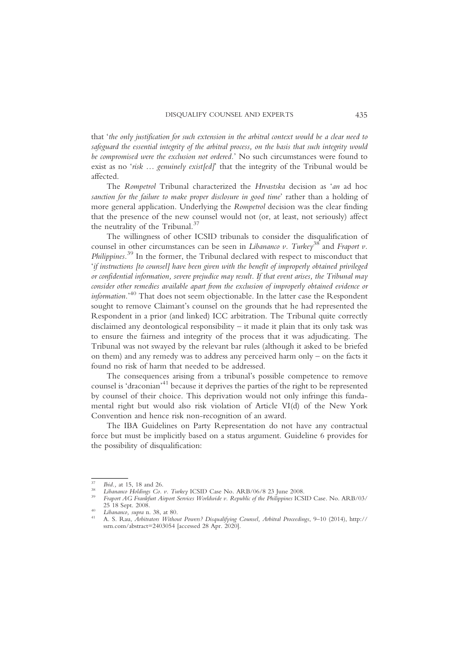that 'the only justification for such extension in the arbitral context would be a clear need to safeguard the essential integrity of the arbitral process, on the basis that such integrity would be compromised were the exclusion not ordered.' No such circumstances were found to exist as no 'risk ... genuinely exist[ed]' that the integrity of the Tribunal would be affected.

The Rompetrol Tribunal characterized the Hrvastska decision as 'an ad hoc sanction for the failure to make proper disclosure in good time' rather than a holding of more general application. Underlying the Rompetrol decision was the clear finding that the presence of the new counsel would not (or, at least, not seriously) affect the neutrality of the Tribunal.<sup>37</sup>

The willingness of other ICSID tribunals to consider the disqualification of counsel in other circumstances can be seen in Libananco v. Turkey<sup>38</sup> and Fraport v. Philippines.<sup>39</sup> In the former, the Tribunal declared with respect to misconduct that 'if instructions [to counsel] have been given with the benefit of improperly obtained privileged or confidential information, severe prejudice may result. If that event arises, the Tribunal may consider other remedies available apart from the exclusion of improperly obtained evidence or information.' <sup>40</sup> That does not seem objectionable. In the latter case the Respondent sought to remove Claimant's counsel on the grounds that he had represented the Respondent in a prior (and linked) ICC arbitration. The Tribunal quite correctly disclaimed any deontological responsibility – it made it plain that its only task was to ensure the fairness and integrity of the process that it was adjudicating. The Tribunal was not swayed by the relevant bar rules (although it asked to be briefed on them) and any remedy was to address any perceived harm only – on the facts it found no risk of harm that needed to be addressed.

The consequences arising from a tribunal's possible competence to remove counsel is 'draconian' <sup>41</sup> because it deprives the parties of the right to be represented by counsel of their choice. This deprivation would not only infringe this fundamental right but would also risk violation of Article VI(d) of the New York Convention and hence risk non-recognition of an award.

The IBA Guidelines on Party Representation do not have any contractual force but must be implicitly based on a status argument. Guideline 6 provides for the possibility of disqualification:

<sup>&</sup>lt;sup>37</sup> Ibid., at 15, 18 and 26.<br><sup>38</sup> Libananco Holdings Co. v. Turkey ICSID Case No. ARB/06/8 23 June 2008.<br><sup>39</sup> Fraport AG Frankfurt Airport Services Worldwide v. Republic of the Philippines ICSID Case. No. ARB/03/<br>25 18 S

<sup>25 18</sup> Sept. 2008. <sup>40</sup> Libananco, supra n. 38, at 80. <sup>41</sup> A. S. Rau, Arbitrators Without Powers? Disqualifying Counsel, Arbitral Proceedings, 9–10 (2014), http:// ssrn.com/abstract=2403054 [accessed 28 Apr. 2020].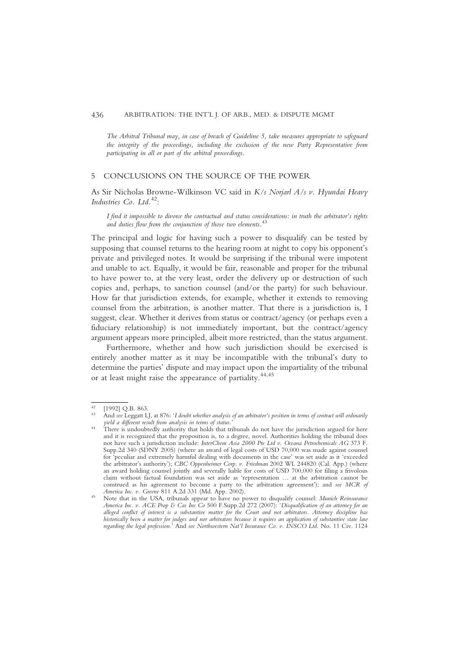The Arbitral Tribunal may, in case of breach of Guideline 5, take measures appropriate to safeguard the integrity of the proceedings, including the exclusion of the new Party Representative from participating in all or part of the arbitral proceedings.

#### 5 CONCLUSIONS ON THE SOURCE OF THE POWER

As Sir Nicholas Browne-Wilkinson VC said in K/s Norjarl A/s v. Hyundai Heavy Industries Co. Ltd.<sup>42</sup>:

I find it impossible to divorce the contractual and status considerations: in truth the arbitrator's rights and duties flow from the conjunction of those two elements.<sup>43</sup>

The principal and logic for having such a power to disqualify can be tested by supposing that counsel returns to the hearing room at night to copy his opponent's private and privileged notes. It would be surprising if the tribunal were impotent and unable to act. Equally, it would be fair, reasonable and proper for the tribunal to have power to, at the very least, order the delivery up or destruction of such copies and, perhaps, to sanction counsel (and/or the party) for such behaviour. How far that jurisdiction extends, for example, whether it extends to removing counsel from the arbitration, is another matter. That there is a jurisdiction is, I suggest, clear. Whether it derives from status or contract/agency (or perhaps even a fiduciary relationship) is not immediately important, but the contract/agency argument appears more principled, albeit more restricted, than the status argument.

Furthermore, whether and how such jurisdiction should be exercised is entirely another matter as it may be incompatible with the tribunal's duty to determine the parties' dispute and may impact upon the impartiality of the tribunal or at least might raise the appearance of partiality.<sup>44,45</sup>

<sup>&</sup>lt;sup>42</sup> [1992] Q.B. 863.<br><sup>43</sup> And see Leggatt LJ, at 876: *'I doubt whether analysis of an arbitrator's position in terms of contract will ordinarily yield a different result from analysis in terms of status.'* 

There is undoubtedly authority that holds that tribunals do not have the jurisdiction argued for here and it is recognized that the proposition is, to a degree, novel. Authorities holding the tribunal does not have such a jurisdiction include: InterChem Asia 2000 Pte Ltd v. Oceana Petrochemicals AG 373 F. Supp.2d 340 (SDNY 2005) (where an award of legal costs of USD 70,000 was made against counsel for 'peculiar and extremely harmful dealing with documents in the case' was set aside as it 'exceeded the arbitrator's authority'); CBC Oppenheimer Corp. v. Friedman 2002 WL 244820 (Cal. App.) (where an award holding counsel jointly and severally liable for costs of USD 700,000 for filing a frivolous claim without factual foundation was set aside as 'representation … at the arbitration cannot be construed as his agreement to become a party to the arbitration agreement'); and see MCR of America Inc. v. Greene 811 A.2d 331 (Md. App. 2002).

America Inc. v. Greene 811 A.2d 331 (Md. App. 2002).<br><sup>45</sup> Note that in the USA, tribunals appear to have no power to disqualify counsel: *Munich Reinsurance* America Inc. v. ACE Prop & Cas Ins Co 500 F.Supp.2d 272 (2007): 'Disqualification of an attorney for an alleged conflict of interest is a substantive matter for the Court and not arbitrators. Attorney discipline has historically been a matter for judges and nor arbitrators because it requires an application of substantive state law regarding the legal profession.' And see Northwestern Nat'l Insurance Co. v. INSCO Ltd. No. 11 Civ. 1124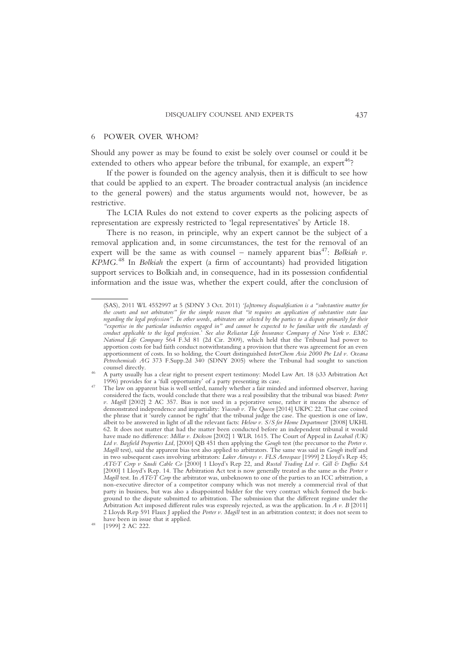#### 6 POWER OVER WHOM?

Should any power as may be found to exist be solely over counsel or could it be extended to others who appear before the tribunal, for example, an expert<sup>46</sup>?

If the power is founded on the agency analysis, then it is difficult to see how that could be applied to an expert. The broader contractual analysis (an incidence to the general powers) and the status arguments would not, however, be as restrictive.

The LCIA Rules do not extend to cover experts as the policing aspects of representation are expressly restricted to 'legal representatives' by Article 18.

There is no reason, in principle, why an expert cannot be the subject of a removal application and, in some circumstances, the test for the removal of an expert will be the same as with counsel – namely apparent bias<sup>47</sup>: Bolkiah v.  $KPMG<sup>48</sup>$  In Bolkiah the expert (a firm of accountants) had provided litigation support services to Bolkiah and, in consequence, had in its possession confidential information and the issue was, whether the expert could, after the conclusion of

<sup>(</sup>SAS), 2011 WL 4552997 at 5 (SDNY 3 Oct. 2011) '[a]ttorney disqualification is a "substantive matter for the courts and not arbitrators" for the simple reason that "it requires an application of substantive state law regarding the legal profession". In other words, arbitrators are selected by the parties to a dispute primarily for their "expertise in the particular industries engaged in" and cannot be expected to be familiar with the standards of conduct applicable to the legal profession.' See also Reliastar Life Insurance Company of New York v. EMC National Life Company 564 F.3d 81 (2d Cir. 2009), which held that the Tribunal had power to apportion costs for bad faith conduct notwithstanding a provision that there was agreement for an even apportionment of costs. In so holding, the Court distinguished InterChem Asia  $2000$  Pte Ltd v. Oceana  $Petrochemials AG 373 F.Supp.2d 340 (SDNY 2005) where the Tribunal had sought to sanction (counsel directly).$ 

A party usually has a clear right to present expert testimony: Model Law Art. 18 (s33 Arbitration Act 1996) provides for a 'full opportunity' of a party presenting its case.

The law on apparent bias is well settled, namely whether a fair minded and informed observer, having considered the facts, would conclude that there was a real possibility that the tribunal was biased: Porter v. Magill [2002] 2 AC 357. Bias is not used in a pejorative sense, rather it means the absence of demonstrated independence and impartiality: Yiacoub v. The Queen [2014] UKPC 22. That case coined the phrase that it 'surely cannot be right' that the tribunal judge the case. The question is one of law, albeit to be answered in light of all the relevant facts: Helow v. S/S for Home Department [2008] UKHL 62. It does not matter that had the matter been conducted before an independent tribunal it would have made no difference: Millar v. Dickson [2002] 1 WLR 1615. The Court of Appeal in Locabail (UK) Ltd v. Bayfield Properties Ltd, [2000] QB 451 then applying the Gough test (the precursor to the Porter v. Magill test), said the apparent bias test also applied to arbitrators. The same was said in Gough itself and in two subsequent cases involving arbitrators: Laker Airways v. FLS Aerospace [1999] 2 Lloyd's Rep 45; AT&T Corp v Saudi Cable Co [2000] 1 Lloyd's Rep 22, and Rustal Trading Ltd v. Gill & Duffus SA [2000] 1 Lloyd's Rep. 14. The Arbitration Act test is now generally treated as the same as the Porter v *Magill* test. In AT&T Corp the arbitrator was, unbeknown to one of the parties to an ICC arbitration, a non-executive director of a competitor company which was not merely a commercial rival of that party in business, but was also a disappointed bidder for the very contract which formed the background to the dispute submitted to arbitration. The submission that the different regime under the Arbitration Act imposed different rules was expressly rejected, as was the application. In A v. B [2011] 2 Lloyds Rep 591 Flaux J applied the *Porter v. Magill* test in an arbitration context; it does not seem to have been in issue that it applied.<br>[1999] 2 AC 222.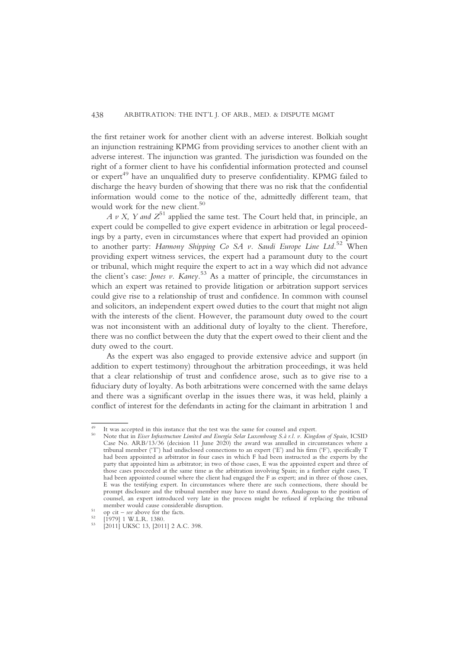the first retainer work for another client with an adverse interest. Bolkiah sought an injunction restraining KPMG from providing services to another client with an adverse interest. The injunction was granted. The jurisdiction was founded on the right of a former client to have his confidential information protected and counsel or expert<sup>49</sup> have an unqualified duty to preserve confidentiality. KPMG failed to discharge the heavy burden of showing that there was no risk that the confidential information would come to the notice of the, admittedly different team, that would work for the new client.<sup>50</sup>

A v X, Y and  $Z^{51}$  applied the same test. The Court held that, in principle, an expert could be compelled to give expert evidence in arbitration or legal proceedings by a party, even in circumstances where that expert had provided an opinion to another party: Harmony Shipping Co SA v. Saudi Europe Line Ltd.<sup>52</sup> When providing expert witness services, the expert had a paramount duty to the court or tribunal, which might require the expert to act in a way which did not advance the client's case: Jones v. Kaney.<sup>53</sup> As a matter of principle, the circumstances in which an expert was retained to provide litigation or arbitration support services could give rise to a relationship of trust and confidence. In common with counsel and solicitors, an independent expert owed duties to the court that might not align with the interests of the client. However, the paramount duty owed to the court was not inconsistent with an additional duty of loyalty to the client. Therefore, there was no conflict between the duty that the expert owed to their client and the duty owed to the court.

As the expert was also engaged to provide extensive advice and support (in addition to expert testimony) throughout the arbitration proceedings, it was held that a clear relationship of trust and confidence arose, such as to give rise to a fiduciary duty of loyalty. As both arbitrations were concerned with the same delays and there was a significant overlap in the issues there was, it was held, plainly a conflict of interest for the defendants in acting for the claimant in arbitration 1 and

It was accepted in this instance that the test was the same for counsel and expert.<br>Note that in Eiser Infrastructure Limited and Energía Solar Luxembourg S.à r.l. v. Kingdom of Spain, ICSID

Case No. ARB/13/36 (decision 11 June 2020) the award was annulled in circumstances where a tribunal member ('T') had undisclosed connections to an expert ('E') and his firm ('F'), specifically T had been appointed as arbitrator in four cases in which F had been instructed as the experts by the party that appointed him as arbitrator; in two of those cases, E was the appointed expert and three of those cases proceeded at the same time as the arbitration involving Spain; in a further eight cases, T had been appointed counsel where the client had engaged the F as expert; and in three of those cases, E was the testifying expert. In circumstances where there are such connections, there should be prompt disclosure and the tribunal member may have to stand down. Analogous to the position of counsel, an expert introduced very late in the process might be refused if replacing the tribunal

<sup>&</sup>lt;sup>51</sup> op cit – *see* above for the facts.<br><sup>52</sup> [1979] 1 W.L.R. 1380.<br><sup>53</sup> [2011] UKSC 13, [2011] 2 A.C. 398.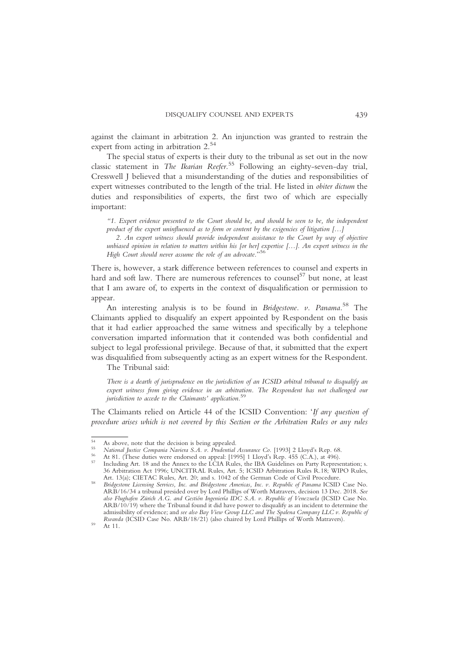against the claimant in arbitration 2. An injunction was granted to restrain the expert from acting in arbitration 2.<sup>54</sup>

The special status of experts is their duty to the tribunal as set out in the now classic statement in The Ikarian Reefer.<sup>55</sup> Following an eighty-seven-day trial, Cresswell J believed that a misunderstanding of the duties and responsibilities of expert witnesses contributed to the length of the trial. He listed in obiter dictum the duties and responsibilities of experts, the first two of which are especially important:

"1. Expert evidence presented to the Court should be, and should be seen to be, the independent product of the expert uninfluenced as to form or content by the exigencies of litigation [...]

2. An expert witness should provide independent assistance to the Court by way of objective unbiased opinion in relation to matters within his [or her] expertise […]. An expert witness in the High Court should never assume the role of an advocate."<sup>56</sup>

There is, however, a stark difference between references to counsel and experts in hard and soft law. There are numerous references to counsel<sup>57</sup> but none, at least that I am aware of, to experts in the context of disqualification or permission to appear.

An interesting analysis is to be found in Bridgestone. v. Panama.<sup>58</sup> The Claimants applied to disqualify an expert appointed by Respondent on the basis that it had earlier approached the same witness and specifically by a telephone conversation imparted information that it contended was both confidential and subject to legal professional privilege. Because of that, it submitted that the expert was disqualified from subsequently acting as an expert witness for the Respondent.

The Tribunal said:

There is a dearth of jurisprudence on the jurisdiction of an ICSID arbitral tribunal to disqualify an expert witness from giving evidence in an arbitration. The Respondent has not challenged our jurisdiction to accede to the Claimants' application.<sup>59</sup>

The Claimants relied on Article 44 of the ICSID Convention: 'If any question of procedure arises which is not covered by this Section or the Arbitration Rules or any rules

<sup>&</sup>lt;sup>54</sup> As above, note that the decision is being appealed.<br><sup>55</sup> National Justice Compania Naviera S.A. v. Prudential Assurance Co. [1993] 2 Lloyd's Rep. 68.<br><sup>56</sup> At 81. (These duties were endorsed on appeal: [1995] 1 Lloyd's

<sup>36</sup> Arbitration Act 1996; UNCITRAL Rules, Art. 5; ICSID Arbitration Rules R.18; WIPO Rules,

Bridgestone Licensing Services, Inc. and Bridgestone Americas, Inc. v. Republic of Panama ICSID Case No. ARB/16/34 a tribunal presided over by Lord Phillips of Worth Matravers, decision 13 Dec. 2018. See also Flughafen Zürich A.G. and Gestión Ingeniería IDC S.A. v. Republic of Venezuela (ICSID Case No.  $ARB/10/19$ ) where the Tribunal found it did have power to disqualify as an incident to determine the admissibility of evidence; and see also Bay View Group LLC and The Spalena Company LLC  $\nu$ . Republic of Rwanda (ICSID Case No. ARB/18/21) (also chaired by Lord Phillips of Worth Matravers).<br>At 11.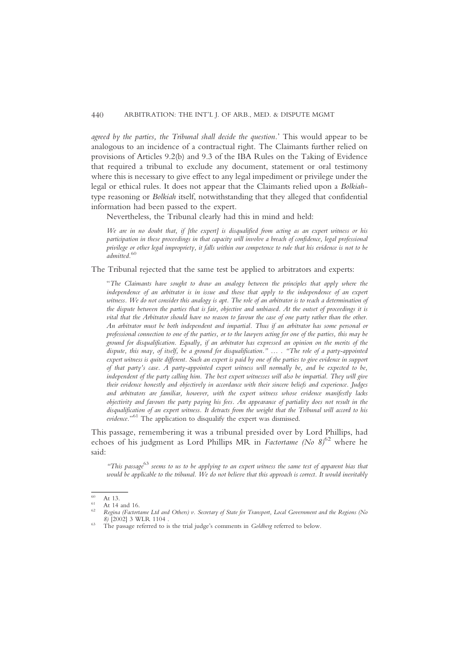agreed by the parties, the Tribunal shall decide the question.' This would appear to be analogous to an incidence of a contractual right. The Claimants further relied on provisions of Articles 9.2(b) and 9.3 of the IBA Rules on the Taking of Evidence that required a tribunal to exclude any document, statement or oral testimony where this is necessary to give effect to any legal impediment or privilege under the legal or ethical rules. It does not appear that the Claimants relied upon a Bolkiahtype reasoning or Bolkiah itself, notwithstanding that they alleged that confidential information had been passed to the expert.

Nevertheless, the Tribunal clearly had this in mind and held:

We are in no doubt that, if [the expert] is disqualified from acting as an expert witness or his participation in these proceedings in that capacity will involve a breach of confidence, legal professional privilege or other legal impropriety, it falls within our competence to rule that his evidence is not to be admitted.<sup>60</sup>

The Tribunal rejected that the same test be applied to arbitrators and experts:

"The Claimants have sought to draw an analogy between the principles that apply where the independence of an arbitrator is in issue and those that apply to the independence of an expert witness. We do not consider this analogy is apt. The role of an arbitrator is to reach a determination of the dispute between the parties that is fair, objective and unbiased. At the outset of proceedings it is vital that the Arbitrator should have no reason to favour the case of one party rather than the other. An arbitrator must be both independent and impartial. Thus if an arbitrator has some personal or professional connection to one of the parties, or to the lawyers acting for one of the parties, this may be ground for disqualification. Equally, if an arbitrator has expressed an opinion on the merits of the dispute, this may, of itself, be a ground for disqualification." … . "The role of a party-appointed expert witness is quite different. Such an expert is paid by one of the parties to give evidence in support of that party's case. A party-appointed expert witness will normally be, and be expected to be, independent of the party calling him. The best expert witnesses will also be impartial. They will give their evidence honestly and objectively in accordance with their sincere beliefs and experience. Judges and arbitrators are familiar, however, with the expert witness whose evidence manifestly lacks objectivity and favours the party paying his fees. An appearance of partiality does not result in the disqualification of an expert witness. It detracts from the weight that the Tribunal will accord to his evidence."<sup>61</sup> The application to disqualify the expert was dismissed.

This passage, remembering it was a tribunal presided over by Lord Phillips, had echoes of his judgment as Lord Phillips MR in Factortame (No  $8)^{62}$  where he said:

"This passage<sup>63</sup> seems to us to be applying to an expert witness the same test of apparent bias that would be applicable to the tribunal. We do not believe that this approach is correct. It would inevitably

<sup>60</sup> At 13.<br>
61 At 14 and 16.<br>
62 Regina (Factortame Ltd and Others) v. Secretary of State for Transport, Local Government and the Regions (No<br>
8) [2002] 3 WLR 1104 .

The passage referred to is the trial judge's comments in *Goldberg* referred to below.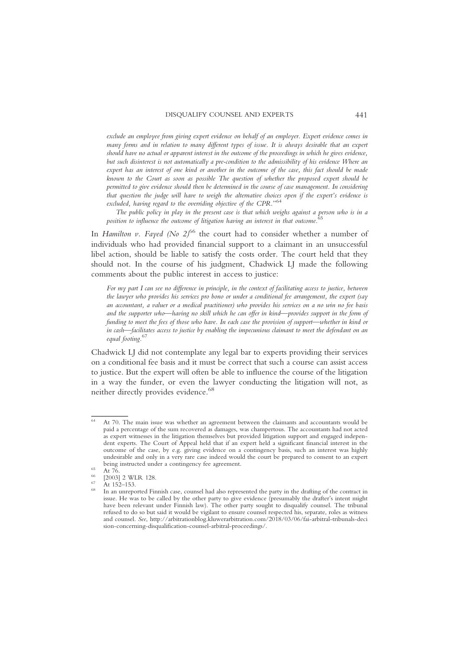#### DISQUALIFY COUNSEL AND EXPERTS 441

exclude an employee from giving expert evidence on behalf of an employer. Expert evidence comes in many forms and in relation to many different types of issue. It is always desirable that an expert should have no actual or apparent interest in the outcome of the proceedings in which he gives evidence, but such disinterest is not automatically a pre-condition to the admissibility of his evidence Where an expert has an interest of one kind or another in the outcome of the case, this fact should be made known to the Court as soon as possible The question of whether the proposed expert should be permitted to give evidence should then be determined in the course of case management. In considering that question the judge will have to weigh the alternative choices open if the expert's evidence is excluded, having regard to the overriding objective of the CPR."<sup>64</sup>

The public policy in play in the present case is that which weighs against a person who is in a position to influence the outcome of litigation having an interest in that outcome.

In Hamilton v. Fayed (No  $2$ )<sup>66</sup> the court had to consider whether a number of individuals who had provided financial support to a claimant in an unsuccessful libel action, should be liable to satisfy the costs order. The court held that they should not. In the course of his judgment, Chadwick LJ made the following comments about the public interest in access to justice:

For my part I can see no difference in principle, in the context of facilitating access to justice, between the lawyer who provides his services pro bono or under a conditional fee arrangement, the expert (say an accountant, a valuer or a medical practitioner) who provides his services on a no win no fee basis and the supporter who—having no skill which he can offer in kind—provides support in the form of funding to meet the fees of those who have. In each case the provision of support—whether in kind or in cash—facilitates access to justice by enabling the impecunious claimant to meet the defendant on an equal footing.<sup>67</sup>

Chadwick LJ did not contemplate any legal bar to experts providing their services on a conditional fee basis and it must be correct that such a course can assist access to justice. But the expert will often be able to influence the course of the litigation in a way the funder, or even the lawyer conducting the litigation will not, as neither directly provides evidence.<sup>68</sup>

<sup>64</sup> At 70. The main issue was whether an agreement between the claimants and accountants would be paid a percentage of the sum recovered as damages, was champertous. The accountants had not acted as expert witnesses in the litigation themselves but provided litigation support and engaged independent experts. The Court of Appeal held that if an expert held a significant financial interest in the outcome of the case, by e.g. giving evidence on a contingency basis, such an interest was highly undesirable and only in a very rare case indeed would the court be prepared to consent to an expert

being instructed under a contingency fee agreement. <sup>65</sup> At 76. <sup>66</sup> [2003] 2 WLR 128. <sup>67</sup> At 152–153. <sup>68</sup> In an unreported Finnish case, counsel had also represented the party in the drafting of the contract in issue. He was to be called by the other party to give evidence (presumably the drafter's intent might have been relevant under Finnish law). The other party sought to disqualify counsel. The tribunal refused to do so but said it would be vigilant to ensure counsel respected his, separate, roles as witness and counsel. See, http://arbitrationblog.kluwerarbitration.com/2018/03/06/fai-arbitral-tribunals-deci sion-concerning-disqualification-counsel-arbitral-proceedings/.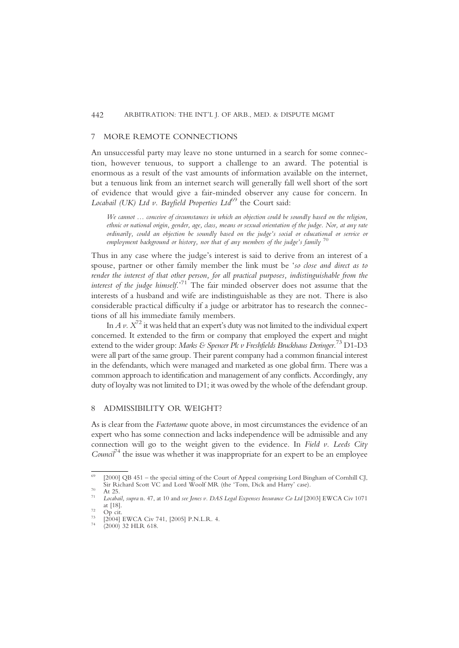## 7 MORE REMOTE CONNECTIONS

An unsuccessful party may leave no stone unturned in a search for some connection, however tenuous, to support a challenge to an award. The potential is enormous as a result of the vast amounts of information available on the internet, but a tenuous link from an internet search will generally fall well short of the sort of evidence that would give a fair-minded observer any cause for concern. In Locabail (UK) Ltd v. Bayfield Properties Ltd<sup>69</sup> the Court said:

We cannot ... conceive of circumstances in which an objection could be soundly based on the religion, ethnic or national origin, gender, age, class, means or sexual orientation of the judge. Nor, at any rate ordinarily, could an objection be soundly based on the judge's social or educational or service or employment background or history, nor that of any members of the judge's family  $70$ 

Thus in any case where the judge's interest is said to derive from an interest of a spouse, partner or other family member the link must be 'so close and direct as to render the interest of that other person, for all practical purposes, indistinguishable from the interest of the judge himself.<sup>71</sup> The fair minded observer does not assume that the interests of a husband and wife are indistinguishable as they are not. There is also considerable practical difficulty if a judge or arbitrator has to research the connections of all his immediate family members.

In A v.  $X^{72}$  it was held that an expert's duty was not limited to the individual expert concerned. It extended to the firm or company that employed the expert and might extend to the wider group: Marks & Spencer Plc v Freshfields Bruckhaus Deringer.<sup>73</sup> D1-D3 were all part of the same group. Their parent company had a common financial interest in the defendants, which were managed and marketed as one global firm. There was a common approach to identification and management of any conflicts. Accordingly, any duty of loyalty was not limited to D1; it was owed by the whole of the defendant group.

# 8 ADMISSIBILITY OR WEIGHT?

As is clear from the Factortame quote above, in most circumstances the evidence of an expert who has some connection and lacks independence will be admissible and any connection will go to the weight given to the evidence. In Field  $v$ . Leeds City *Council*<sup>74</sup> the issue was whether it was inappropriate for an expert to be an employee

<sup>&</sup>lt;sup>69</sup> [2000] QB 451 – the special sitting of the Court of Appeal comprising Lord Bingham of Cornhill CJ, Sir Richard Scott VC and Lord Woolf MR (the 'Tom, Dick and Harry' case).

 $\begin{array}{ll}\n\text{70} & \text{At 25.} \\
\text{Local1} & \text{Local25.} \\
\text{Local2003} & \text{EWCA} \\
\text{181} & \text{1181}\n\end{array}$ 

 $\begin{array}{ll}\n & \text{Qp cit.} \\
73 & [2004] \text{ EWCA} \\
74 & (2000) \text{ 32 HLR } 618.\n\end{array}$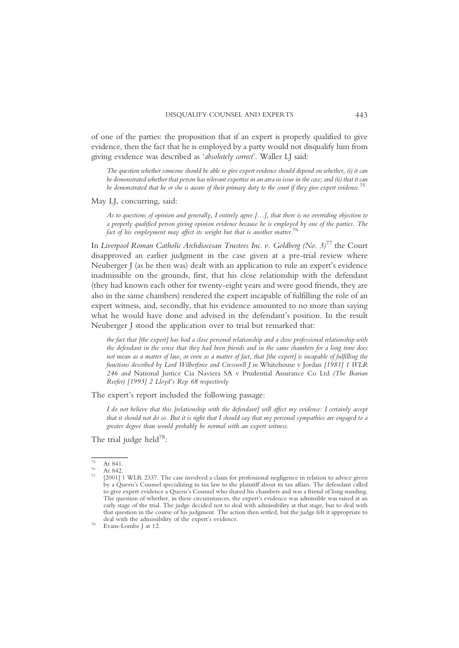of one of the parties: the proposition that if an expert is properly qualified to give evidence, then the fact that he is employed by a party would not disqualify him from giving evidence was described as 'absolutely correct'. Waller LJ said:

The question whether someone should be able to give expert evidence should depend on whether, (i) it can be demonstrated whether that person has relevant expertise in an area in issue in the case; and (ii) that it can be demonstrated that he or she is aware of their primary duty to the court if they give expert evidence.<sup>75</sup>

May LJ, concurring, said:

As to questions of opinion and generally, I entirely agree […], that there is no overriding objection to a properly qualified person giving opinion evidence because he is employed by one of the parties. The fact of his employment may affect its weight but that is another matter.<sup>76</sup>

In Liverpool Roman Catholic Archdiocesan Trustees Inc. v. Goldberg (No.  $3^{77}$  the Court disapproved an earlier judgment in the case given at a pre-trial review where Neuberger J (as he then was) dealt with an application to rule an expert's evidence inadmissible on the grounds, first, that his close relationship with the defendant (they had known each other for twenty-eight years and were good friends, they are also in the same chambers) rendered the expert incapable of fulfilling the role of an expert witness, and, secondly, that his evidence amounted to no more than saying what he would have done and advised in the defendant's position. In the result Neuberger J stood the application over to trial but remarked that:

the fact that [the expert] has had a close personal relationship and a close professional relationship with the defendant in the sense that they had been friends and in the same chambers for a long time does not mean as a matter of law, or even as a matter of fact, that [the expert] is incapable of fulfilling the functions described by Lord Wilberforce and Cresswell J in Whitehouse v Jordan [1981] 1 WLR 246 and National Justice Cia Naviera SA v Prudential Assurance Co Ltd (The Ikarian Reefer) [1993] 2 Lloyd's Rep 68 respectively

The expert's report included the following passage:

I do not believe that this [relationship with the defendant] will affect my evidence: I certainly accept that it should not do so. But it is right that I should say that my personal sympathies are engaged to a greater degree than would probably be normal with an expert witness.

The trial judge held $^{78}$ :

<sup>&</sup>lt;sup>75</sup> At 841.<br><sup>76</sup> At 842.<br><sup>77</sup> [2001] 1 WLR 2337. The case involved a claim for professional negligence in relation to advice given by a Queen's Counsel specializing in tax law to the plaintiff about its tax affairs. The defendant called to give expert evidence a Queen's Counsel who shared his chambers and was a friend of long standing. The question of whether, in these circumstances, the expert's evidence was admissible was raised at an early stage of the trial. The judge decided not to deal with admissibility at that stage, but to deal with that question in the course of his judgment. The action then settled, but the judge felt it appropriate to deal with the admissibility of the expert's evidence.<br>Evans-Lombe J at 12.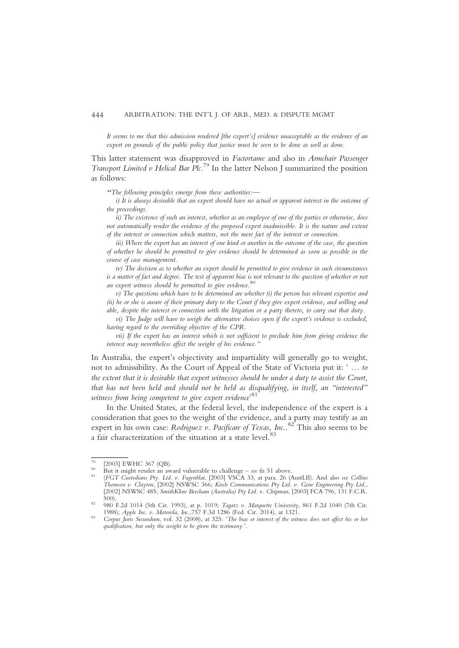It seems to me that this admission rendered [the expert's] evidence unacceptable as the evidence of an expert on grounds of the public policy that justice must be seen to be done as well as done.

This latter statement was disapproved in Factortame and also in Armchair Passenger Transport Limited v Helical Bar Plc.<sup>79</sup> In the latter Nelson J summarized the position as follows:

"The following principles emerge from these authorities:—

i) It is always desirable that an expert should have no actual or apparent interest in the outcome of the proceedings.

ii) The existence of such an interest, whether as an employee of one of the parties or otherwise, does not automatically render the evidence of the proposed expert inadmissible. It is the nature and extent of the interest or connection which matters, not the mere fact of the interest or connection.

iii) Where the expert has an interest of one kind or another in the outcome of the case, the question of whether he should be permitted to give evidence should be determined as soon as possible in the course of case management.

iv) The decision as to whether an expert should be permitted to give evidence in such circumstances is a matter of fact and degree. The test of apparent bias is not relevant to the question of whether or not an expert witness should be permitted to give evidence.  $80^{\circ}$ 

 $\nu$ ) The questions which have to be determined are whether (i) the person has relevant expertise and (ii) he or she is aware of their primary duty to the Court if they give expert evidence, and willing and able, despite the interest or connection with the litigation or a party thereto, to carry out that duty.

vi) The Judge will have to weigh the alternative choices open if the expert's evidence is excluded, having regard to the overriding objective of the CPR.

vii) If the expert has an interest which is not sufficient to preclude him from giving evidence the interest may nevertheless affect the weight of his evidence."

In Australia, the expert's objectivity and impartiality will generally go to weight, not to admissibility. As the Court of Appeal of the State of Victoria put it: ' … to the extent that it is desirable that expert witnesses should be under a duty to assist the Court, that has not been held and should not be held as disqualifying, in itself, an "interested" witness from being competent to give expert evidence<sup>,81</sup>

In the United States, at the federal level, the independence of the expert is a consideration that goes to the weight of the evidence, and a party may testify as an expert in his own case: Rodriguez v. Pacificare of Texas, Inc.. $82$  This also seems to be a fair characterization of the situation at a state level.<sup>83</sup>

<sup>&</sup>lt;sup>79</sup> [2003] EWHC 367 (QB).<br><sup>80</sup> But it might render an award vulnerable to challenge – *see* fn 51 above.<br><sup>81</sup> (FGT Custodians Pty. Ltd. v. Fagenblat, [2003] VSCA 33, at para. 26 (AustLII). And also *see Collins* Thomson v. Clayton, [2002] NSWSC 366; Kirch Communications Pty Ltd. v. Gene Engineering Pty Ltd., [2002] NSWSC 485; SmithKline Beecham (Australia) Pty Ltd. v. Chipman, [2003] FCA 796, 131 F.C.R.

<sup>&</sup>lt;sup>82</sup> 980 F.2d 1014 (5th Cir. 1993), at p. 1019; *Tagatz v. Marquette University*, 861 F.2d 1040 (7th Cir. 1988): *Apple Inc. v. Motorola. Inc.* 757 F.3d 1286 (Fed. Cir. 2014), at 1321.

<sup>83</sup> Corpus Juris Secundum, vol. 32 (2008), at 325: 'The bias or interest of the witness does not affect his or her qualification, but only the weight to be given the testimony.'.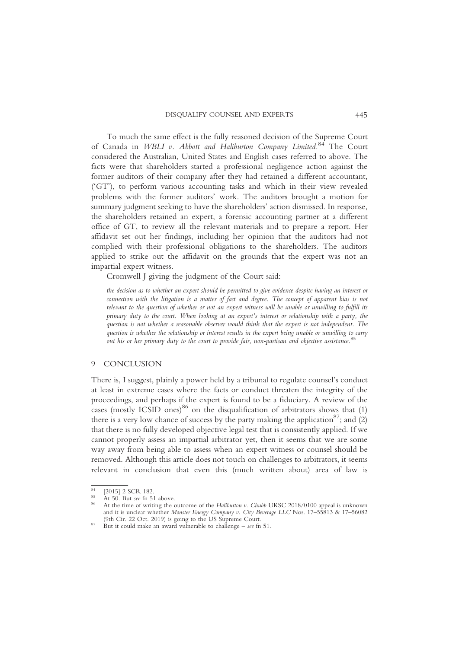#### DISQUALIFY COUNSEL AND EXPERTS 445

To much the same effect is the fully reasoned decision of the Supreme Court of Canada in WBLI v. Abbott and Haliburton Company Limited.<sup>84</sup> The Court considered the Australian, United States and English cases referred to above. The facts were that shareholders started a professional negligence action against the former auditors of their company after they had retained a different accountant, ('GT'), to perform various accounting tasks and which in their view revealed problems with the former auditors' work. The auditors brought a motion for summary judgment seeking to have the shareholders' action dismissed. In response, the shareholders retained an expert, a forensic accounting partner at a different office of GT, to review all the relevant materials and to prepare a report. Her affidavit set out her findings, including her opinion that the auditors had not complied with their professional obligations to the shareholders. The auditors applied to strike out the affidavit on the grounds that the expert was not an impartial expert witness.

Cromwell J giving the judgment of the Court said:

the decision as to whether an expert should be permitted to give evidence despite having an interest or connection with the litigation is a matter of fact and degree. The concept of apparent bias is not relevant to the question of whether or not an expert witness will be unable or unwilling to fulfill its primary duty to the court. When looking at an expert's interest or relationship with a party, the question is not whether a reasonable observer would think that the expert is not independent. The question is whether the relationship or interest results in the expert being unable or unwilling to carry out his or her primary duty to the court to provide fair, non-partisan and objective assistance.<sup>8</sup>

## 9 CONCLUSION

There is, I suggest, plainly a power held by a tribunal to regulate counsel's conduct at least in extreme cases where the facts or conduct threaten the integrity of the proceedings, and perhaps if the expert is found to be a fiduciary. A review of the cases (mostly ICSID ones) $86$  on the disqualification of arbitrators shows that (1) there is a very low chance of success by the party making the application<sup>87</sup>; and (2) that there is no fully developed objective legal test that is consistently applied. If we cannot properly assess an impartial arbitrator yet, then it seems that we are some way away from being able to assess when an expert witness or counsel should be removed. Although this article does not touch on challenges to arbitrators, it seems relevant in conclusion that even this (much written about) area of law is

<sup>&</sup>lt;sup>84</sup> [2015] 2 SCR 182.<br><sup>85</sup> At 50. But *see* fn 51 above.<br><sup>86</sup> At the time of writing the outcome of the *Haliburton v. Chubb* UKSC 2018/0100 appeal is unknown and it is unclear whether Monster Energy Company v. City Beverage LLC Nos. 17–55813 & 17–56082<br>(9th Cir. 22 Oct. 2019) is going to the US Supreme Court.

But it could make an award vulnerable to challenge – see fn 51.